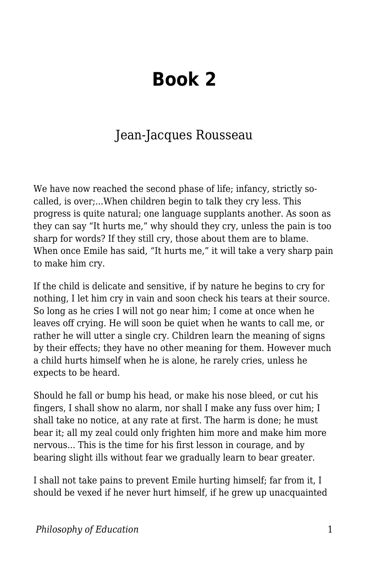## **Book 2**

## Jean-Jacques Rousseau

We have now reached the second phase of life; infancy, strictly socalled, is over;...When children begin to talk they cry less. This progress is quite natural; one language supplants another. As soon as they can say "It hurts me," why should they cry, unless the pain is too sharp for words? If they still cry, those about them are to blame. When once Emile has said, "It hurts me," it will take a very sharp pain to make him cry.

If the child is delicate and sensitive, if by nature he begins to cry for nothing, I let him cry in vain and soon check his tears at their source. So long as he cries I will not go near him; I come at once when he leaves off crying. He will soon be quiet when he wants to call me, or rather he will utter a single cry. Children learn the meaning of signs by their effects; they have no other meaning for them. However much a child hurts himself when he is alone, he rarely cries, unless he expects to be heard.

Should he fall or bump his head, or make his nose bleed, or cut his fingers, I shall show no alarm, nor shall I make any fuss over him; I shall take no notice, at any rate at first. The harm is done; he must bear it; all my zeal could only frighten him more and make him more nervous... This is the time for his first lesson in courage, and by bearing slight ills without fear we gradually learn to bear greater.

I shall not take pains to prevent Emile hurting himself; far from it, I should be vexed if he never hurt himself, if he grew up unacquainted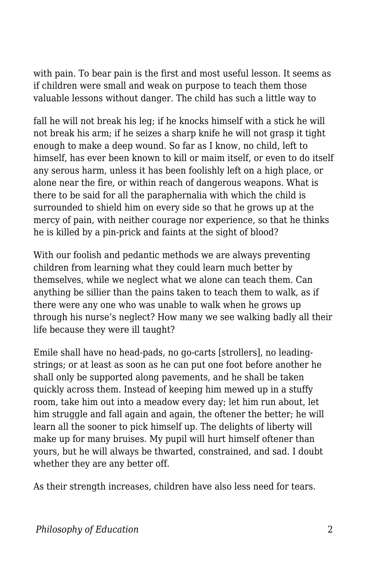with pain. To bear pain is the first and most useful lesson. It seems as if children were small and weak on purpose to teach them those valuable lessons without danger. The child has such a little way to

fall he will not break his leg; if he knocks himself with a stick he will not break his arm; if he seizes a sharp knife he will not grasp it tight enough to make a deep wound. So far as I know, no child, left to himself, has ever been known to kill or maim itself, or even to do itself any serous harm, unless it has been foolishly left on a high place, or alone near the fire, or within reach of dangerous weapons. What is there to be said for all the paraphernalia with which the child is surrounded to shield him on every side so that he grows up at the mercy of pain, with neither courage nor experience, so that he thinks he is killed by a pin-prick and faints at the sight of blood?

With our foolish and pedantic methods we are always preventing children from learning what they could learn much better by themselves, while we neglect what we alone can teach them. Can anything be sillier than the pains taken to teach them to walk, as if there were any one who was unable to walk when he grows up through his nurse's neglect? How many we see walking badly all their life because they were ill taught?

Emile shall have no head-pads, no go-carts [strollers], no leadingstrings; or at least as soon as he can put one foot before another he shall only be supported along pavements, and he shall be taken quickly across them. Instead of keeping him mewed up in a stuffy room, take him out into a meadow every day; let him run about, let him struggle and fall again and again, the oftener the better; he will learn all the sooner to pick himself up. The delights of liberty will make up for many bruises. My pupil will hurt himself oftener than yours, but he will always be thwarted, constrained, and sad. I doubt whether they are any better off.

As their strength increases, children have also less need for tears.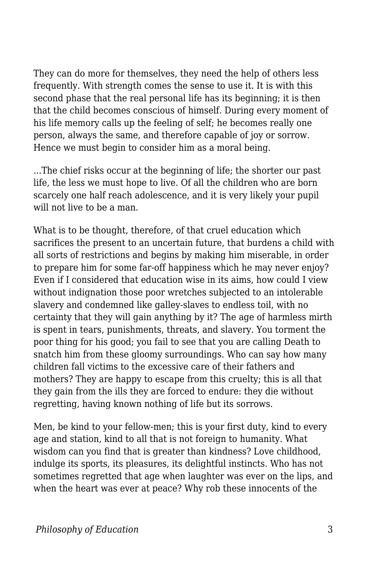They can do more for themselves, they need the help of others less frequently. With strength comes the sense to use it. It is with this second phase that the real personal life has its beginning; it is then that the child becomes conscious of himself. During every moment of his life memory calls up the feeling of self; he becomes really one person, always the same, and therefore capable of joy or sorrow. Hence we must begin to consider him as a moral being.

...The chief risks occur at the beginning of life; the shorter our past life, the less we must hope to live. Of all the children who are born scarcely one half reach adolescence, and it is very likely your pupil will not live to be a man.

What is to be thought, therefore, of that cruel education which sacrifices the present to an uncertain future, that burdens a child with all sorts of restrictions and begins by making him miserable, in order to prepare him for some far-off happiness which he may never enjoy? Even if I considered that education wise in its aims, how could I view without indignation those poor wretches subjected to an intolerable slavery and condemned like galley-slaves to endless toil, with no certainty that they will gain anything by it? The age of harmless mirth is spent in tears, punishments, threats, and slavery. You torment the poor thing for his good; you fail to see that you are calling Death to snatch him from these gloomy surroundings. Who can say how many children fall victims to the excessive care of their fathers and mothers? They are happy to escape from this cruelty; this is all that they gain from the ills they are forced to endure: they die without regretting, having known nothing of life but its sorrows.

Men, be kind to your fellow-men; this is your first duty, kind to every age and station, kind to all that is not foreign to humanity. What wisdom can you find that is greater than kindness? Love childhood, indulge its sports, its pleasures, its delightful instincts. Who has not sometimes regretted that age when laughter was ever on the lips, and when the heart was ever at peace? Why rob these innocents of the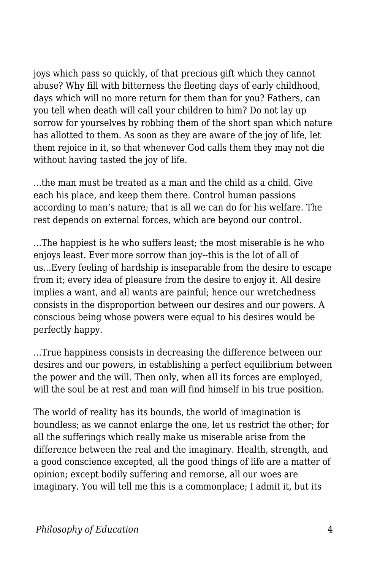joys which pass so quickly, of that precious gift which they cannot abuse? Why fill with bitterness the fleeting days of early childhood, days which will no more return for them than for you? Fathers, can you tell when death will call your children to him? Do not lay up sorrow for yourselves by robbing them of the short span which nature has allotted to them. As soon as they are aware of the joy of life, let them rejoice in it, so that whenever God calls them they may not die without having tasted the joy of life.

...the man must be treated as a man and the child as a child. Give each his place, and keep them there. Control human passions according to man's nature; that is all we can do for his welfare. The rest depends on external forces, which are beyond our control.

...The happiest is he who suffers least; the most miserable is he who enjoys least. Ever more sorrow than joy--this is the lot of all of us...Every feeling of hardship is inseparable from the desire to escape from it; every idea of pleasure from the desire to enjoy it. All desire implies a want, and all wants are painful; hence our wretchedness consists in the disproportion between our desires and our powers. A conscious being whose powers were equal to his desires would be perfectly happy.

...True happiness consists in decreasing the difference between our desires and our powers, in establishing a perfect equilibrium between the power and the will. Then only, when all its forces are employed, will the soul be at rest and man will find himself in his true position.

The world of reality has its bounds, the world of imagination is boundless; as we cannot enlarge the one, let us restrict the other; for all the sufferings which really make us miserable arise from the difference between the real and the imaginary. Health, strength, and a good conscience excepted, all the good things of life are a matter of opinion; except bodily suffering and remorse, all our woes are imaginary. You will tell me this is a commonplace; I admit it, but its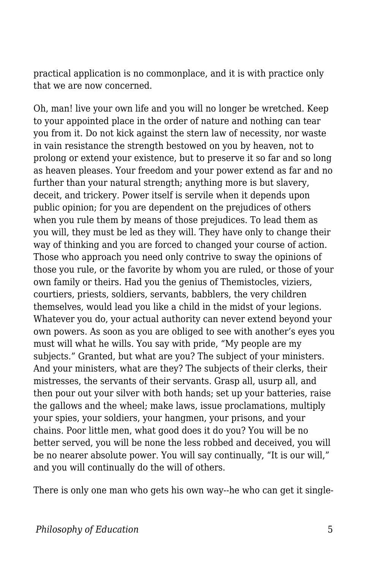practical application is no commonplace, and it is with practice only that we are now concerned.

Oh, man! live your own life and you will no longer be wretched. Keep to your appointed place in the order of nature and nothing can tear you from it. Do not kick against the stern law of necessity, nor waste in vain resistance the strength bestowed on you by heaven, not to prolong or extend your existence, but to preserve it so far and so long as heaven pleases. Your freedom and your power extend as far and no further than your natural strength; anything more is but slavery, deceit, and trickery. Power itself is servile when it depends upon public opinion; for you are dependent on the prejudices of others when you rule them by means of those prejudices. To lead them as you will, they must be led as they will. They have only to change their way of thinking and you are forced to changed your course of action. Those who approach you need only contrive to sway the opinions of those you rule, or the favorite by whom you are ruled, or those of your own family or theirs. Had you the genius of Themistocles, viziers, courtiers, priests, soldiers, servants, babblers, the very children themselves, would lead you like a child in the midst of your legions. Whatever you do, your actual authority can never extend beyond your own powers. As soon as you are obliged to see with another's eyes you must will what he wills. You say with pride, "My people are my subjects." Granted, but what are you? The subject of your ministers. And your ministers, what are they? The subjects of their clerks, their mistresses, the servants of their servants. Grasp all, usurp all, and then pour out your silver with both hands; set up your batteries, raise the gallows and the wheel; make laws, issue proclamations, multiply your spies, your soldiers, your hangmen, your prisons, and your chains. Poor little men, what good does it do you? You will be no better served, you will be none the less robbed and deceived, you will be no nearer absolute power. You will say continually, "It is our will," and you will continually do the will of others.

There is only one man who gets his own way--he who can get it single-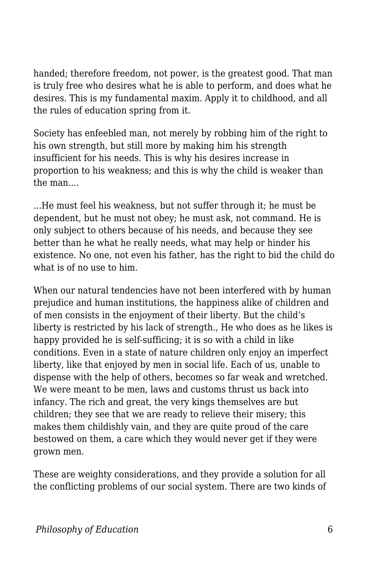handed; therefore freedom, not power, is the greatest good. That man is truly free who desires what he is able to perform, and does what he desires. This is my fundamental maxim. Apply it to childhood, and all the rules of education spring from it.

Society has enfeebled man, not merely by robbing him of the right to his own strength, but still more by making him his strength insufficient for his needs. This is why his desires increase in proportion to his weakness; and this is why the child is weaker than the man....

...He must feel his weakness, but not suffer through it; he must be dependent, but he must not obey; he must ask, not command. He is only subject to others because of his needs, and because they see better than he what he really needs, what may help or hinder his existence. No one, not even his father, has the right to bid the child do what is of no use to him.

When our natural tendencies have not been interfered with by human prejudice and human institutions, the happiness alike of children and of men consists in the enjoyment of their liberty. But the child's liberty is restricted by his lack of strength., He who does as he likes is happy provided he is self-sufficing; it is so with a child in like conditions. Even in a state of nature children only enjoy an imperfect liberty, like that enjoyed by men in social life. Each of us, unable to dispense with the help of others, becomes so far weak and wretched. We were meant to be men, laws and customs thrust us back into infancy. The rich and great, the very kings themselves are but children; they see that we are ready to relieve their misery; this makes them childishly vain, and they are quite proud of the care bestowed on them, a care which they would never get if they were grown men.

These are weighty considerations, and they provide a solution for all the conflicting problems of our social system. There are two kinds of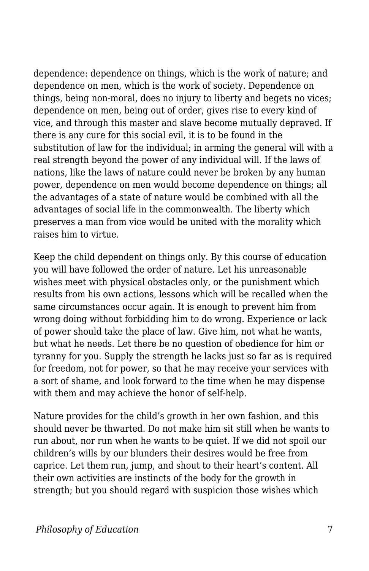dependence: dependence on things, which is the work of nature; and dependence on men, which is the work of society. Dependence on things, being non-moral, does no injury to liberty and begets no vices; dependence on men, being out of order, gives rise to every kind of vice, and through this master and slave become mutually depraved. If there is any cure for this social evil, it is to be found in the substitution of law for the individual; in arming the general will with a real strength beyond the power of any individual will. If the laws of nations, like the laws of nature could never be broken by any human power, dependence on men would become dependence on things; all the advantages of a state of nature would be combined with all the advantages of social life in the commonwealth. The liberty which preserves a man from vice would be united with the morality which raises him to virtue.

Keep the child dependent on things only. By this course of education you will have followed the order of nature. Let his unreasonable wishes meet with physical obstacles only, or the punishment which results from his own actions, lessons which will be recalled when the same circumstances occur again. It is enough to prevent him from wrong doing without forbidding him to do wrong. Experience or lack of power should take the place of law. Give him, not what he wants, but what he needs. Let there be no question of obedience for him or tyranny for you. Supply the strength he lacks just so far as is required for freedom, not for power, so that he may receive your services with a sort of shame, and look forward to the time when he may dispense with them and may achieve the honor of self-help.

Nature provides for the child's growth in her own fashion, and this should never be thwarted. Do not make him sit still when he wants to run about, nor run when he wants to be quiet. If we did not spoil our children's wills by our blunders their desires would be free from caprice. Let them run, jump, and shout to their heart's content. All their own activities are instincts of the body for the growth in strength; but you should regard with suspicion those wishes which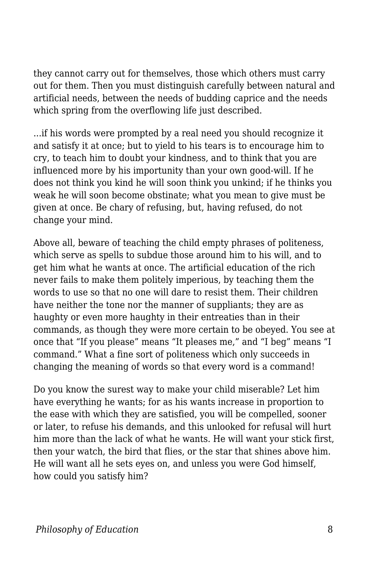they cannot carry out for themselves, those which others must carry out for them. Then you must distinguish carefully between natural and artificial needs, between the needs of budding caprice and the needs which spring from the overflowing life just described.

...if his words were prompted by a real need you should recognize it and satisfy it at once; but to yield to his tears is to encourage him to cry, to teach him to doubt your kindness, and to think that you are influenced more by his importunity than your own good-will. If he does not think you kind he will soon think you unkind; if he thinks you weak he will soon become obstinate; what you mean to give must be given at once. Be chary of refusing, but, having refused, do not change your mind.

Above all, beware of teaching the child empty phrases of politeness, which serve as spells to subdue those around him to his will, and to get him what he wants at once. The artificial education of the rich never fails to make them politely imperious, by teaching them the words to use so that no one will dare to resist them. Their children have neither the tone nor the manner of suppliants; they are as haughty or even more haughty in their entreaties than in their commands, as though they were more certain to be obeyed. You see at once that "If you please" means "It pleases me," and "I beg" means "I command." What a fine sort of politeness which only succeeds in changing the meaning of words so that every word is a command!

Do you know the surest way to make your child miserable? Let him have everything he wants; for as his wants increase in proportion to the ease with which they are satisfied, you will be compelled, sooner or later, to refuse his demands, and this unlooked for refusal will hurt him more than the lack of what he wants. He will want your stick first, then your watch, the bird that flies, or the star that shines above him. He will want all he sets eyes on, and unless you were God himself, how could you satisfy him?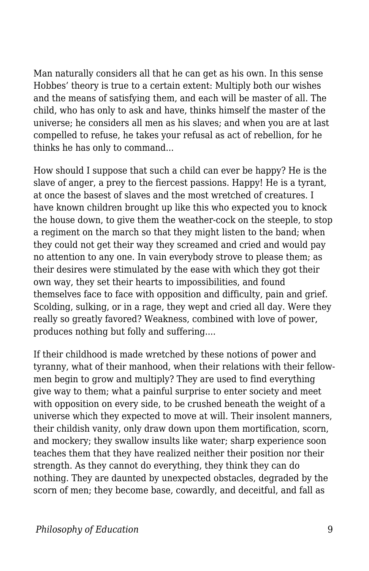Man naturally considers all that he can get as his own. In this sense Hobbes' theory is true to a certain extent: Multiply both our wishes and the means of satisfying them, and each will be master of all. The child, who has only to ask and have, thinks himself the master of the universe; he considers all men as his slaves; and when you are at last compelled to refuse, he takes your refusal as act of rebellion, for he thinks he has only to command...

How should I suppose that such a child can ever be happy? He is the slave of anger, a prey to the fiercest passions. Happy! He is a tyrant, at once the basest of slaves and the most wretched of creatures. I have known children brought up like this who expected you to knock the house down, to give them the weather-cock on the steeple, to stop a regiment on the march so that they might listen to the band; when they could not get their way they screamed and cried and would pay no attention to any one. In vain everybody strove to please them; as their desires were stimulated by the ease with which they got their own way, they set their hearts to impossibilities, and found themselves face to face with opposition and difficulty, pain and grief. Scolding, sulking, or in a rage, they wept and cried all day. Were they really so greatly favored? Weakness, combined with love of power, produces nothing but folly and suffering....

If their childhood is made wretched by these notions of power and tyranny, what of their manhood, when their relations with their fellowmen begin to grow and multiply? They are used to find everything give way to them; what a painful surprise to enter society and meet with opposition on every side, to be crushed beneath the weight of a universe which they expected to move at will. Their insolent manners, their childish vanity, only draw down upon them mortification, scorn, and mockery; they swallow insults like water; sharp experience soon teaches them that they have realized neither their position nor their strength. As they cannot do everything, they think they can do nothing. They are daunted by unexpected obstacles, degraded by the scorn of men; they become base, cowardly, and deceitful, and fall as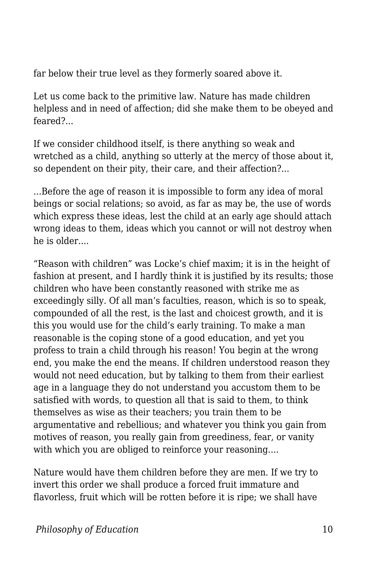far below their true level as they formerly soared above it.

Let us come back to the primitive law. Nature has made children helpless and in need of affection; did she make them to be obeyed and feared?...

If we consider childhood itself, is there anything so weak and wretched as a child, anything so utterly at the mercy of those about it, so dependent on their pity, their care, and their affection?...

...Before the age of reason it is impossible to form any idea of moral beings or social relations; so avoid, as far as may be, the use of words which express these ideas, lest the child at an early age should attach wrong ideas to them, ideas which you cannot or will not destroy when he is older....

"Reason with children" was Locke's chief maxim; it is in the height of fashion at present, and I hardly think it is justified by its results; those children who have been constantly reasoned with strike me as exceedingly silly. Of all man's faculties, reason, which is so to speak, compounded of all the rest, is the last and choicest growth, and it is this you would use for the child's early training. To make a man reasonable is the coping stone of a good education, and yet you profess to train a child through his reason! You begin at the wrong end, you make the end the means. If children understood reason they would not need education, but by talking to them from their earliest age in a language they do not understand you accustom them to be satisfied with words, to question all that is said to them, to think themselves as wise as their teachers; you train them to be argumentative and rebellious; and whatever you think you gain from motives of reason, you really gain from greediness, fear, or vanity with which you are obliged to reinforce your reasoning....

Nature would have them children before they are men. If we try to invert this order we shall produce a forced fruit immature and flavorless, fruit which will be rotten before it is ripe; we shall have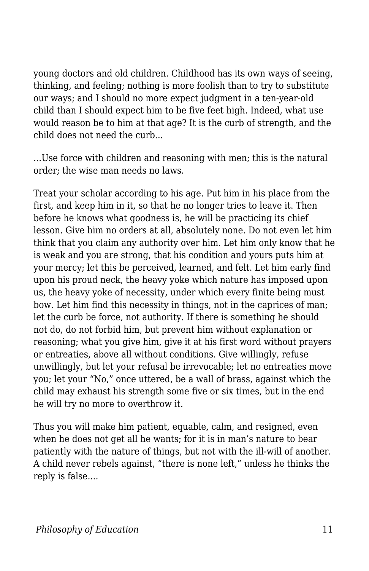young doctors and old children. Childhood has its own ways of seeing, thinking, and feeling; nothing is more foolish than to try to substitute our ways; and I should no more expect judgment in a ten-year-old child than I should expect him to be five feet high. Indeed, what use would reason be to him at that age? It is the curb of strength, and the child does not need the curb...

...Use force with children and reasoning with men; this is the natural order; the wise man needs no laws.

Treat your scholar according to his age. Put him in his place from the first, and keep him in it, so that he no longer tries to leave it. Then before he knows what goodness is, he will be practicing its chief lesson. Give him no orders at all, absolutely none. Do not even let him think that you claim any authority over him. Let him only know that he is weak and you are strong, that his condition and yours puts him at your mercy; let this be perceived, learned, and felt. Let him early find upon his proud neck, the heavy yoke which nature has imposed upon us, the heavy yoke of necessity, under which every finite being must bow. Let him find this necessity in things, not in the caprices of man; let the curb be force, not authority. If there is something he should not do, do not forbid him, but prevent him without explanation or reasoning; what you give him, give it at his first word without prayers or entreaties, above all without conditions. Give willingly, refuse unwillingly, but let your refusal be irrevocable; let no entreaties move you; let your "No," once uttered, be a wall of brass, against which the child may exhaust his strength some five or six times, but in the end he will try no more to overthrow it.

Thus you will make him patient, equable, calm, and resigned, even when he does not get all he wants; for it is in man's nature to bear patiently with the nature of things, but not with the ill-will of another. A child never rebels against, "there is none left," unless he thinks the reply is false....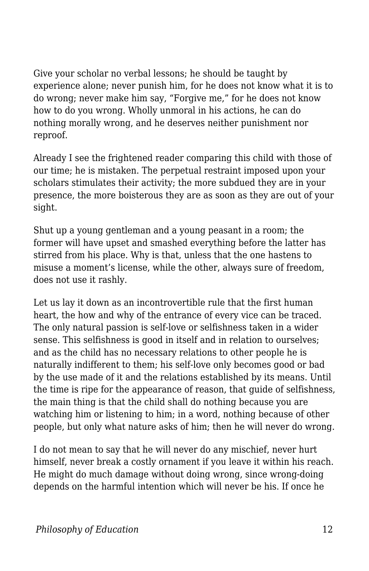Give your scholar no verbal lessons; he should be taught by experience alone; never punish him, for he does not know what it is to do wrong; never make him say, "Forgive me," for he does not know how to do you wrong. Wholly unmoral in his actions, he can do nothing morally wrong, and he deserves neither punishment nor reproof.

Already I see the frightened reader comparing this child with those of our time; he is mistaken. The perpetual restraint imposed upon your scholars stimulates their activity; the more subdued they are in your presence, the more boisterous they are as soon as they are out of your sight.

Shut up a young gentleman and a young peasant in a room; the former will have upset and smashed everything before the latter has stirred from his place. Why is that, unless that the one hastens to misuse a moment's license, while the other, always sure of freedom, does not use it rashly.

Let us lay it down as an incontrovertible rule that the first human heart, the how and why of the entrance of every vice can be traced. The only natural passion is self-love or selfishness taken in a wider sense. This selfishness is good in itself and in relation to ourselves: and as the child has no necessary relations to other people he is naturally indifferent to them; his self-love only becomes good or bad by the use made of it and the relations established by its means. Until the time is ripe for the appearance of reason, that guide of selfishness, the main thing is that the child shall do nothing because you are watching him or listening to him; in a word, nothing because of other people, but only what nature asks of him; then he will never do wrong.

I do not mean to say that he will never do any mischief, never hurt himself, never break a costly ornament if you leave it within his reach. He might do much damage without doing wrong, since wrong-doing depends on the harmful intention which will never be his. If once he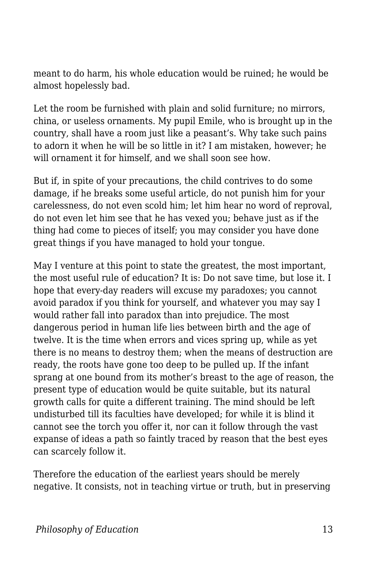meant to do harm, his whole education would be ruined; he would be almost hopelessly bad.

Let the room be furnished with plain and solid furniture; no mirrors, china, or useless ornaments. My pupil Emile, who is brought up in the country, shall have a room just like a peasant's. Why take such pains to adorn it when he will be so little in it? I am mistaken, however; he will ornament it for himself, and we shall soon see how.

But if, in spite of your precautions, the child contrives to do some damage, if he breaks some useful article, do not punish him for your carelessness, do not even scold him; let him hear no word of reproval, do not even let him see that he has vexed you; behave just as if the thing had come to pieces of itself; you may consider you have done great things if you have managed to hold your tongue.

May I venture at this point to state the greatest, the most important, the most useful rule of education? It is: Do not save time, but lose it. I hope that every-day readers will excuse my paradoxes; you cannot avoid paradox if you think for yourself, and whatever you may say I would rather fall into paradox than into prejudice. The most dangerous period in human life lies between birth and the age of twelve. It is the time when errors and vices spring up, while as yet there is no means to destroy them; when the means of destruction are ready, the roots have gone too deep to be pulled up. If the infant sprang at one bound from its mother's breast to the age of reason, the present type of education would be quite suitable, but its natural growth calls for quite a different training. The mind should be left undisturbed till its faculties have developed; for while it is blind it cannot see the torch you offer it, nor can it follow through the vast expanse of ideas a path so faintly traced by reason that the best eyes can scarcely follow it.

Therefore the education of the earliest years should be merely negative. It consists, not in teaching virtue or truth, but in preserving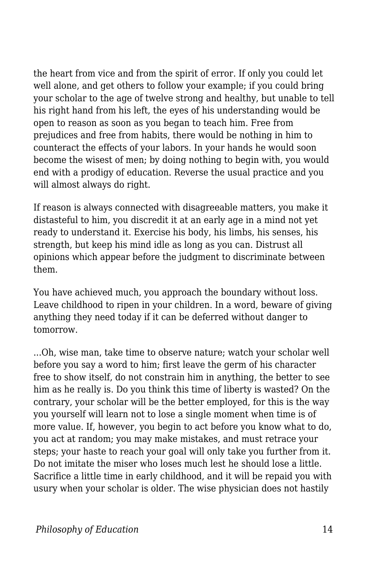the heart from vice and from the spirit of error. If only you could let well alone, and get others to follow your example; if you could bring your scholar to the age of twelve strong and healthy, but unable to tell his right hand from his left, the eyes of his understanding would be open to reason as soon as you began to teach him. Free from prejudices and free from habits, there would be nothing in him to counteract the effects of your labors. In your hands he would soon become the wisest of men; by doing nothing to begin with, you would end with a prodigy of education. Reverse the usual practice and you will almost always do right.

If reason is always connected with disagreeable matters, you make it distasteful to him, you discredit it at an early age in a mind not yet ready to understand it. Exercise his body, his limbs, his senses, his strength, but keep his mind idle as long as you can. Distrust all opinions which appear before the judgment to discriminate between them.

You have achieved much, you approach the boundary without loss. Leave childhood to ripen in your children. In a word, beware of giving anything they need today if it can be deferred without danger to tomorrow.

...Oh, wise man, take time to observe nature; watch your scholar well before you say a word to him; first leave the germ of his character free to show itself, do not constrain him in anything, the better to see him as he really is. Do you think this time of liberty is wasted? On the contrary, your scholar will be the better employed, for this is the way you yourself will learn not to lose a single moment when time is of more value. If, however, you begin to act before you know what to do, you act at random; you may make mistakes, and must retrace your steps; your haste to reach your goal will only take you further from it. Do not imitate the miser who loses much lest he should lose a little. Sacrifice a little time in early childhood, and it will be repaid you with usury when your scholar is older. The wise physician does not hastily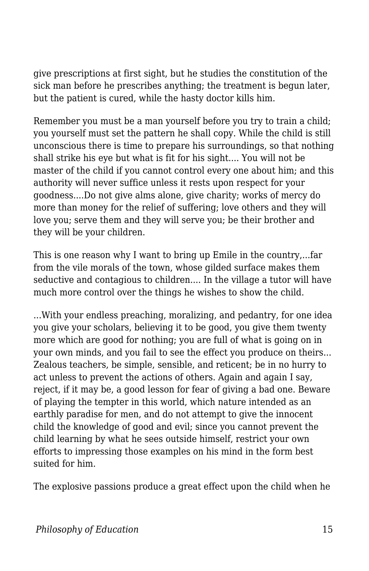give prescriptions at first sight, but he studies the constitution of the sick man before he prescribes anything; the treatment is begun later, but the patient is cured, while the hasty doctor kills him.

Remember you must be a man yourself before you try to train a child; you yourself must set the pattern he shall copy. While the child is still unconscious there is time to prepare his surroundings, so that nothing shall strike his eye but what is fit for his sight.... You will not be master of the child if you cannot control every one about him; and this authority will never suffice unless it rests upon respect for your goodness....Do not give alms alone, give charity; works of mercy do more than money for the relief of suffering; love others and they will love you; serve them and they will serve you; be their brother and they will be your children.

This is one reason why I want to bring up Emile in the country,...far from the vile morals of the town, whose gilded surface makes them seductive and contagious to children.... In the village a tutor will have much more control over the things he wishes to show the child.

...With your endless preaching, moralizing, and pedantry, for one idea you give your scholars, believing it to be good, you give them twenty more which are good for nothing; you are full of what is going on in your own minds, and you fail to see the effect you produce on theirs... Zealous teachers, be simple, sensible, and reticent; be in no hurry to act unless to prevent the actions of others. Again and again I say, reject, if it may be, a good lesson for fear of giving a bad one. Beware of playing the tempter in this world, which nature intended as an earthly paradise for men, and do not attempt to give the innocent child the knowledge of good and evil; since you cannot prevent the child learning by what he sees outside himself, restrict your own efforts to impressing those examples on his mind in the form best suited for him.

The explosive passions produce a great effect upon the child when he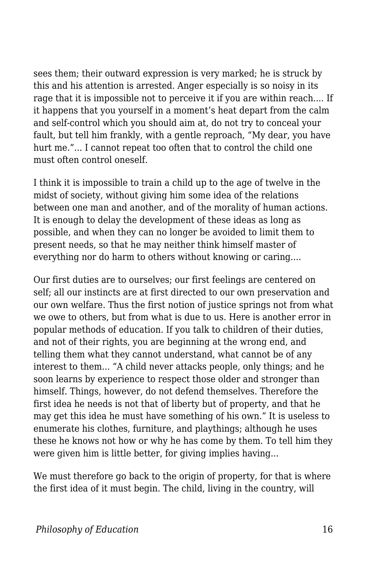sees them; their outward expression is very marked; he is struck by this and his attention is arrested. Anger especially is so noisy in its rage that it is impossible not to perceive it if you are within reach.... If it happens that you yourself in a moment's heat depart from the calm and self-control which you should aim at, do not try to conceal your fault, but tell him frankly, with a gentle reproach, "My dear, you have hurt me."... I cannot repeat too often that to control the child one must often control oneself.

I think it is impossible to train a child up to the age of twelve in the midst of society, without giving him some idea of the relations between one man and another, and of the morality of human actions. It is enough to delay the development of these ideas as long as possible, and when they can no longer be avoided to limit them to present needs, so that he may neither think himself master of everything nor do harm to others without knowing or caring....

Our first duties are to ourselves; our first feelings are centered on self; all our instincts are at first directed to our own preservation and our own welfare. Thus the first notion of justice springs not from what we owe to others, but from what is due to us. Here is another error in popular methods of education. If you talk to children of their duties, and not of their rights, you are beginning at the wrong end, and telling them what they cannot understand, what cannot be of any interest to them... "A child never attacks people, only things; and he soon learns by experience to respect those older and stronger than himself. Things, however, do not defend themselves. Therefore the first idea he needs is not that of liberty but of property, and that he may get this idea he must have something of his own." It is useless to enumerate his clothes, furniture, and playthings; although he uses these he knows not how or why he has come by them. To tell him they were given him is little better, for giving implies having...

We must therefore go back to the origin of property, for that is where the first idea of it must begin. The child, living in the country, will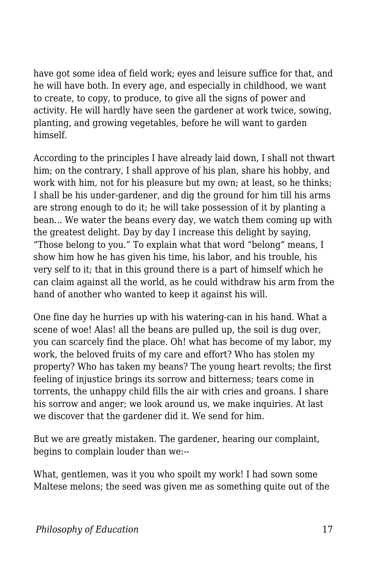have got some idea of field work; eyes and leisure suffice for that, and he will have both. In every age, and especially in childhood, we want to create, to copy, to produce, to give all the signs of power and activity. He will hardly have seen the gardener at work twice, sowing, planting, and growing vegetables, before he will want to garden himself.

According to the principles I have already laid down, I shall not thwart him; on the contrary, I shall approve of his plan, share his hobby, and work with him, not for his pleasure but my own; at least, so he thinks; I shall be his under-gardener, and dig the ground for him till his arms are strong enough to do it; he will take possession of it by planting a bean... We water the beans every day, we watch them coming up with the greatest delight. Day by day I increase this delight by saying, "Those belong to you." To explain what that word "belong" means, I show him how he has given his time, his labor, and his trouble, his very self to it; that in this ground there is a part of himself which he can claim against all the world, as he could withdraw his arm from the hand of another who wanted to keep it against his will.

One fine day he hurries up with his watering-can in his hand. What a scene of woe! Alas! all the beans are pulled up, the soil is dug over, you can scarcely find the place. Oh! what has become of my labor, my work, the beloved fruits of my care and effort? Who has stolen my property? Who has taken my beans? The young heart revolts; the first feeling of injustice brings its sorrow and bitterness; tears come in torrents, the unhappy child fills the air with cries and groans. I share his sorrow and anger; we look around us, we make inquiries. At last we discover that the gardener did it. We send for him.

But we are greatly mistaken. The gardener, hearing our complaint, begins to complain louder than we:--

What, gentlemen, was it you who spoilt my work! I had sown some Maltese melons; the seed was given me as something quite out of the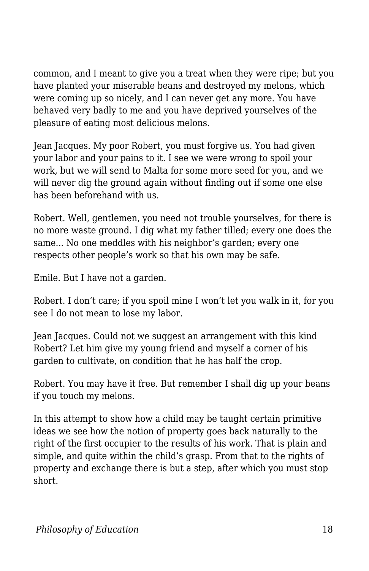common, and I meant to give you a treat when they were ripe; but you have planted your miserable beans and destroyed my melons, which were coming up so nicely, and I can never get any more. You have behaved very badly to me and you have deprived yourselves of the pleasure of eating most delicious melons.

Jean Jacques. My poor Robert, you must forgive us. You had given your labor and your pains to it. I see we were wrong to spoil your work, but we will send to Malta for some more seed for you, and we will never dig the ground again without finding out if some one else has been beforehand with us.

Robert. Well, gentlemen, you need not trouble yourselves, for there is no more waste ground. I dig what my father tilled; every one does the same... No one meddles with his neighbor's garden; every one respects other people's work so that his own may be safe.

Emile. But I have not a garden.

Robert. I don't care; if you spoil mine I won't let you walk in it, for you see I do not mean to lose my labor.

Jean Jacques. Could not we suggest an arrangement with this kind Robert? Let him give my young friend and myself a corner of his garden to cultivate, on condition that he has half the crop.

Robert. You may have it free. But remember I shall dig up your beans if you touch my melons.

In this attempt to show how a child may be taught certain primitive ideas we see how the notion of property goes back naturally to the right of the first occupier to the results of his work. That is plain and simple, and quite within the child's grasp. From that to the rights of property and exchange there is but a step, after which you must stop short.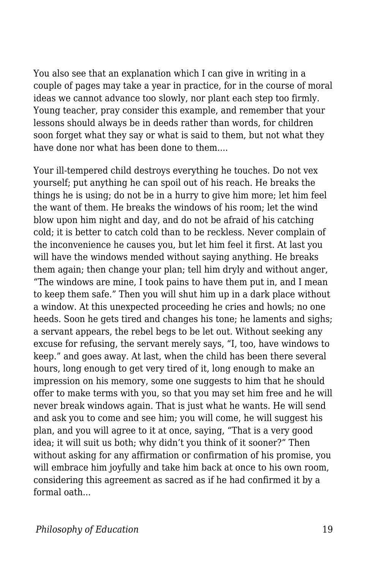You also see that an explanation which I can give in writing in a couple of pages may take a year in practice, for in the course of moral ideas we cannot advance too slowly, nor plant each step too firmly. Young teacher, pray consider this example, and remember that your lessons should always be in deeds rather than words, for children soon forget what they say or what is said to them, but not what they have done nor what has been done to them....

Your ill-tempered child destroys everything he touches. Do not vex yourself; put anything he can spoil out of his reach. He breaks the things he is using; do not be in a hurry to give him more; let him feel the want of them. He breaks the windows of his room; let the wind blow upon him night and day, and do not be afraid of his catching cold; it is better to catch cold than to be reckless. Never complain of the inconvenience he causes you, but let him feel it first. At last you will have the windows mended without saying anything. He breaks them again; then change your plan; tell him dryly and without anger, "The windows are mine, I took pains to have them put in, and I mean to keep them safe." Then you will shut him up in a dark place without a window. At this unexpected proceeding he cries and howls; no one heeds. Soon he gets tired and changes his tone; he laments and sighs; a servant appears, the rebel begs to be let out. Without seeking any excuse for refusing, the servant merely says, "I, too, have windows to keep." and goes away. At last, when the child has been there several hours, long enough to get very tired of it, long enough to make an impression on his memory, some one suggests to him that he should offer to make terms with you, so that you may set him free and he will never break windows again. That is just what he wants. He will send and ask you to come and see him; you will come, he will suggest his plan, and you will agree to it at once, saying, "That is a very good idea; it will suit us both; why didn't you think of it sooner?" Then without asking for any affirmation or confirmation of his promise, you will embrace him joyfully and take him back at once to his own room, considering this agreement as sacred as if he had confirmed it by a formal oath...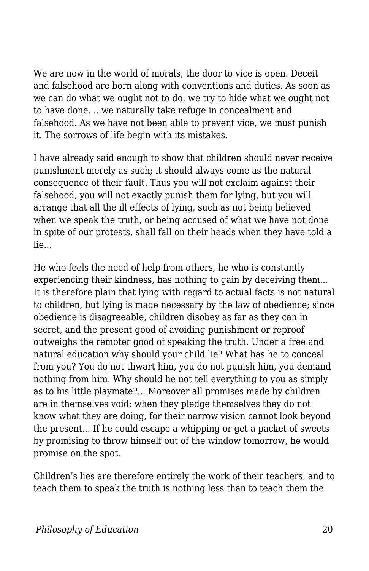We are now in the world of morals, the door to vice is open. Deceit and falsehood are born along with conventions and duties. As soon as we can do what we ought not to do, we try to hide what we ought not to have done. ...we naturally take refuge in concealment and falsehood. As we have not been able to prevent vice, we must punish it. The sorrows of life begin with its mistakes.

I have already said enough to show that children should never receive punishment merely as such; it should always come as the natural consequence of their fault. Thus you will not exclaim against their falsehood, you will not exactly punish them for lying, but you will arrange that all the ill effects of lying, such as not being believed when we speak the truth, or being accused of what we have not done in spite of our protests, shall fall on their heads when they have told a lie...

He who feels the need of help from others, he who is constantly experiencing their kindness, has nothing to gain by deceiving them... It is therefore plain that lying with regard to actual facts is not natural to children, but lying is made necessary by the law of obedience; since obedience is disagreeable, children disobey as far as they can in secret, and the present good of avoiding punishment or reproof outweighs the remoter good of speaking the truth. Under a free and natural education why should your child lie? What has he to conceal from you? You do not thwart him, you do not punish him, you demand nothing from him. Why should he not tell everything to you as simply as to his little playmate?... Moreover all promises made by children are in themselves void; when they pledge themselves they do not know what they are doing, for their narrow vision cannot look beyond the present... If he could escape a whipping or get a packet of sweets by promising to throw himself out of the window tomorrow, he would promise on the spot.

Children's lies are therefore entirely the work of their teachers, and to teach them to speak the truth is nothing less than to teach them the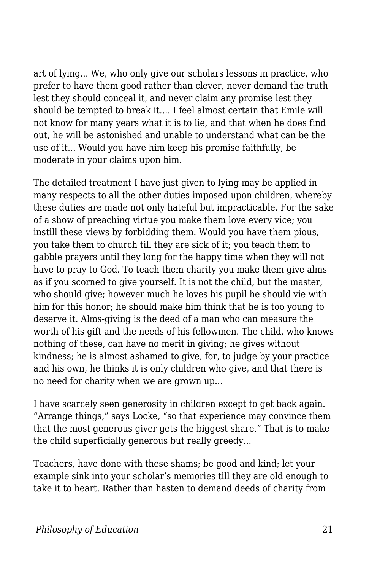art of lying... We, who only give our scholars lessons in practice, who prefer to have them good rather than clever, never demand the truth lest they should conceal it, and never claim any promise lest they should be tempted to break it.... I feel almost certain that Emile will not know for many years what it is to lie, and that when he does find out, he will be astonished and unable to understand what can be the use of it... Would you have him keep his promise faithfully, be moderate in your claims upon him.

The detailed treatment I have just given to lying may be applied in many respects to all the other duties imposed upon children, whereby these duties are made not only hateful but impracticable. For the sake of a show of preaching virtue you make them love every vice; you instill these views by forbidding them. Would you have them pious, you take them to church till they are sick of it; you teach them to gabble prayers until they long for the happy time when they will not have to pray to God. To teach them charity you make them give alms as if you scorned to give yourself. It is not the child, but the master, who should give; however much he loves his pupil he should vie with him for this honor; he should make him think that he is too young to deserve it. Alms-giving is the deed of a man who can measure the worth of his gift and the needs of his fellowmen. The child, who knows nothing of these, can have no merit in giving; he gives without kindness; he is almost ashamed to give, for, to judge by your practice and his own, he thinks it is only children who give, and that there is no need for charity when we are grown up...

I have scarcely seen generosity in children except to get back again. "Arrange things," says Locke, "so that experience may convince them that the most generous giver gets the biggest share." That is to make the child superficially generous but really greedy...

Teachers, have done with these shams; be good and kind; let your example sink into your scholar's memories till they are old enough to take it to heart. Rather than hasten to demand deeds of charity from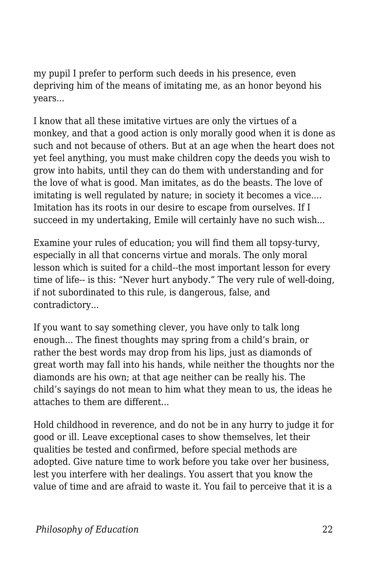my pupil I prefer to perform such deeds in his presence, even depriving him of the means of imitating me, as an honor beyond his years...

I know that all these imitative virtues are only the virtues of a monkey, and that a good action is only morally good when it is done as such and not because of others. But at an age when the heart does not yet feel anything, you must make children copy the deeds you wish to grow into habits, until they can do them with understanding and for the love of what is good. Man imitates, as do the beasts. The love of imitating is well regulated by nature; in society it becomes a vice.... Imitation has its roots in our desire to escape from ourselves. If I succeed in my undertaking, Emile will certainly have no such wish...

Examine your rules of education; you will find them all topsy-turvy, especially in all that concerns virtue and morals. The only moral lesson which is suited for a child--the most important lesson for every time of life-- is this: "Never hurt anybody." The very rule of well-doing, if not subordinated to this rule, is dangerous, false, and contradictory...

If you want to say something clever, you have only to talk long enough... The finest thoughts may spring from a child's brain, or rather the best words may drop from his lips, just as diamonds of great worth may fall into his hands, while neither the thoughts nor the diamonds are his own; at that age neither can be really his. The child's sayings do not mean to him what they mean to us, the ideas he attaches to them are different...

Hold childhood in reverence, and do not be in any hurry to judge it for good or ill. Leave exceptional cases to show themselves, let their qualities be tested and confirmed, before special methods are adopted. Give nature time to work before you take over her business, lest you interfere with her dealings. You assert that you know the value of time and are afraid to waste it. You fail to perceive that it is a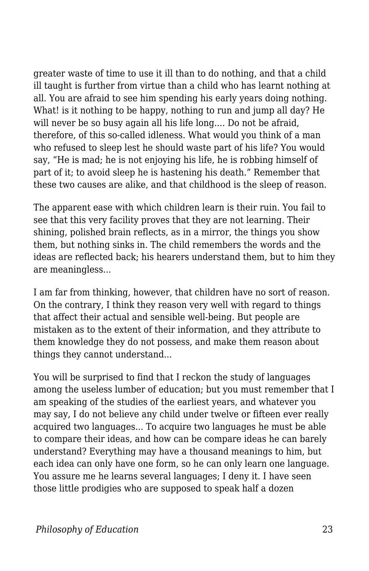greater waste of time to use it ill than to do nothing, and that a child ill taught is further from virtue than a child who has learnt nothing at all. You are afraid to see him spending his early years doing nothing. What! is it nothing to be happy, nothing to run and jump all day? He will never be so busy again all his life long.... Do not be afraid, therefore, of this so-called idleness. What would you think of a man who refused to sleep lest he should waste part of his life? You would say, "He is mad; he is not enjoying his life, he is robbing himself of part of it; to avoid sleep he is hastening his death." Remember that these two causes are alike, and that childhood is the sleep of reason.

The apparent ease with which children learn is their ruin. You fail to see that this very facility proves that they are not learning. Their shining, polished brain reflects, as in a mirror, the things you show them, but nothing sinks in. The child remembers the words and the ideas are reflected back; his hearers understand them, but to him they are meaningless...

I am far from thinking, however, that children have no sort of reason. On the contrary, I think they reason very well with regard to things that affect their actual and sensible well-being. But people are mistaken as to the extent of their information, and they attribute to them knowledge they do not possess, and make them reason about things they cannot understand...

You will be surprised to find that I reckon the study of languages among the useless lumber of education; but you must remember that I am speaking of the studies of the earliest years, and whatever you may say, I do not believe any child under twelve or fifteen ever really acquired two languages... To acquire two languages he must be able to compare their ideas, and how can be compare ideas he can barely understand? Everything may have a thousand meanings to him, but each idea can only have one form, so he can only learn one language. You assure me he learns several languages; I deny it. I have seen those little prodigies who are supposed to speak half a dozen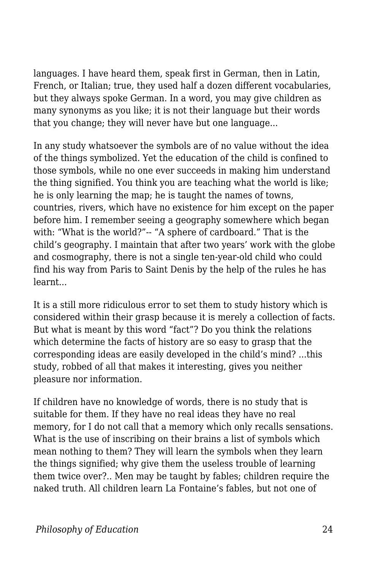languages. I have heard them, speak first in German, then in Latin, French, or Italian; true, they used half a dozen different vocabularies, but they always spoke German. In a word, you may give children as many synonyms as you like; it is not their language but their words that you change; they will never have but one language...

In any study whatsoever the symbols are of no value without the idea of the things symbolized. Yet the education of the child is confined to those symbols, while no one ever succeeds in making him understand the thing signified. You think you are teaching what the world is like; he is only learning the map; he is taught the names of towns, countries, rivers, which have no existence for him except on the paper before him. I remember seeing a geography somewhere which began with: "What is the world?"-- "A sphere of cardboard." That is the child's geography. I maintain that after two years' work with the globe and cosmography, there is not a single ten-year-old child who could find his way from Paris to Saint Denis by the help of the rules he has learnt...

It is a still more ridiculous error to set them to study history which is considered within their grasp because it is merely a collection of facts. But what is meant by this word "fact"? Do you think the relations which determine the facts of history are so easy to grasp that the corresponding ideas are easily developed in the child's mind? ...this study, robbed of all that makes it interesting, gives you neither pleasure nor information.

If children have no knowledge of words, there is no study that is suitable for them. If they have no real ideas they have no real memory, for I do not call that a memory which only recalls sensations. What is the use of inscribing on their brains a list of symbols which mean nothing to them? They will learn the symbols when they learn the things signified; why give them the useless trouble of learning them twice over?.. Men may be taught by fables; children require the naked truth. All children learn La Fontaine's fables, but not one of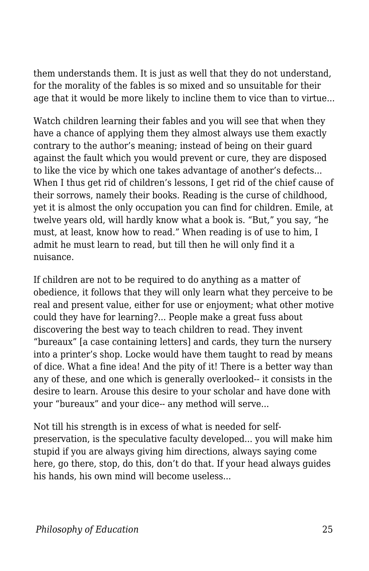them understands them. It is just as well that they do not understand, for the morality of the fables is so mixed and so unsuitable for their age that it would be more likely to incline them to vice than to virtue...

Watch children learning their fables and you will see that when they have a chance of applying them they almost always use them exactly contrary to the author's meaning; instead of being on their guard against the fault which you would prevent or cure, they are disposed to like the vice by which one takes advantage of another's defects... When I thus get rid of children's lessons, I get rid of the chief cause of their sorrows, namely their books. Reading is the curse of childhood, yet it is almost the only occupation you can find for children. Emile, at twelve years old, will hardly know what a book is. "But," you say, "he must, at least, know how to read." When reading is of use to him, I admit he must learn to read, but till then he will only find it a nuisance.

If children are not to be required to do anything as a matter of obedience, it follows that they will only learn what they perceive to be real and present value, either for use or enjoyment; what other motive could they have for learning?... People make a great fuss about discovering the best way to teach children to read. They invent "bureaux" [a case containing letters] and cards, they turn the nursery into a printer's shop. Locke would have them taught to read by means of dice. What a fine idea! And the pity of it! There is a better way than any of these, and one which is generally overlooked-- it consists in the desire to learn. Arouse this desire to your scholar and have done with your "bureaux" and your dice-- any method will serve...

Not till his strength is in excess of what is needed for selfpreservation, is the speculative faculty developed... you will make him stupid if you are always giving him directions, always saying come here, go there, stop, do this, don't do that. If your head always guides his hands, his own mind will become useless...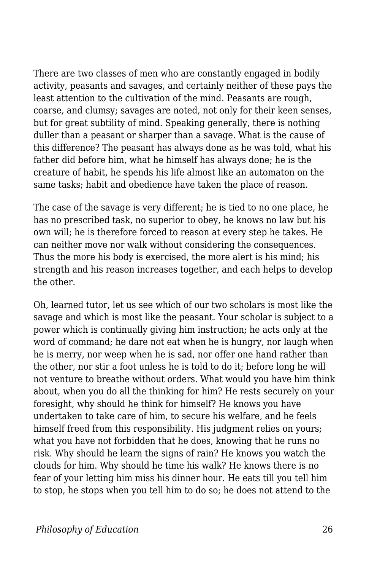There are two classes of men who are constantly engaged in bodily activity, peasants and savages, and certainly neither of these pays the least attention to the cultivation of the mind. Peasants are rough, coarse, and clumsy; savages are noted, not only for their keen senses, but for great subtility of mind. Speaking generally, there is nothing duller than a peasant or sharper than a savage. What is the cause of this difference? The peasant has always done as he was told, what his father did before him, what he himself has always done; he is the creature of habit, he spends his life almost like an automaton on the same tasks; habit and obedience have taken the place of reason.

The case of the savage is very different; he is tied to no one place, he has no prescribed task, no superior to obey, he knows no law but his own will; he is therefore forced to reason at every step he takes. He can neither move nor walk without considering the consequences. Thus the more his body is exercised, the more alert is his mind; his strength and his reason increases together, and each helps to develop the other.

Oh, learned tutor, let us see which of our two scholars is most like the savage and which is most like the peasant. Your scholar is subject to a power which is continually giving him instruction; he acts only at the word of command; he dare not eat when he is hungry, nor laugh when he is merry, nor weep when he is sad, nor offer one hand rather than the other, nor stir a foot unless he is told to do it; before long he will not venture to breathe without orders. What would you have him think about, when you do all the thinking for him? He rests securely on your foresight, why should he think for himself? He knows you have undertaken to take care of him, to secure his welfare, and he feels himself freed from this responsibility. His judgment relies on yours; what you have not forbidden that he does, knowing that he runs no risk. Why should he learn the signs of rain? He knows you watch the clouds for him. Why should he time his walk? He knows there is no fear of your letting him miss his dinner hour. He eats till you tell him to stop, he stops when you tell him to do so; he does not attend to the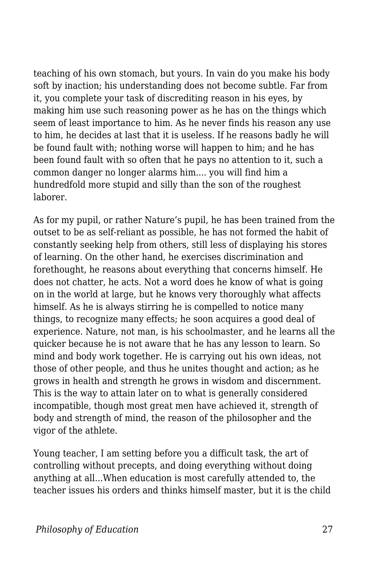teaching of his own stomach, but yours. In vain do you make his body soft by inaction; his understanding does not become subtle. Far from it, you complete your task of discrediting reason in his eyes, by making him use such reasoning power as he has on the things which seem of least importance to him. As he never finds his reason any use to him, he decides at last that it is useless. If he reasons badly he will be found fault with; nothing worse will happen to him; and he has been found fault with so often that he pays no attention to it, such a common danger no longer alarms him.... you will find him a hundredfold more stupid and silly than the son of the roughest laborer.

As for my pupil, or rather Nature's pupil, he has been trained from the outset to be as self-reliant as possible, he has not formed the habit of constantly seeking help from others, still less of displaying his stores of learning. On the other hand, he exercises discrimination and forethought, he reasons about everything that concerns himself. He does not chatter, he acts. Not a word does he know of what is going on in the world at large, but he knows very thoroughly what affects himself. As he is always stirring he is compelled to notice many things, to recognize many effects; he soon acquires a good deal of experience. Nature, not man, is his schoolmaster, and he learns all the quicker because he is not aware that he has any lesson to learn. So mind and body work together. He is carrying out his own ideas, not those of other people, and thus he unites thought and action; as he grows in health and strength he grows in wisdom and discernment. This is the way to attain later on to what is generally considered incompatible, though most great men have achieved it, strength of body and strength of mind, the reason of the philosopher and the vigor of the athlete.

Young teacher, I am setting before you a difficult task, the art of controlling without precepts, and doing everything without doing anything at all...When education is most carefully attended to, the teacher issues his orders and thinks himself master, but it is the child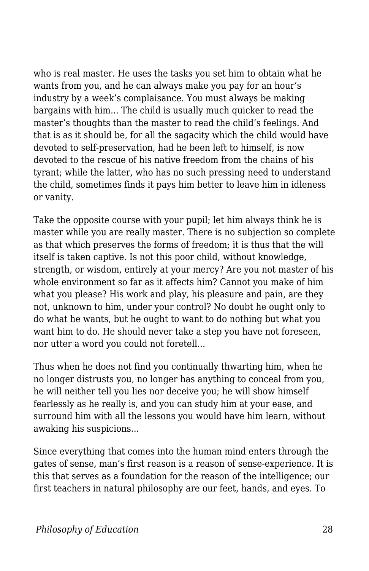who is real master. He uses the tasks you set him to obtain what he wants from you, and he can always make you pay for an hour's industry by a week's complaisance. You must always be making bargains with him... The child is usually much quicker to read the master's thoughts than the master to read the child's feelings. And that is as it should be, for all the sagacity which the child would have devoted to self-preservation, had he been left to himself, is now devoted to the rescue of his native freedom from the chains of his tyrant; while the latter, who has no such pressing need to understand the child, sometimes finds it pays him better to leave him in idleness or vanity.

Take the opposite course with your pupil; let him always think he is master while you are really master. There is no subjection so complete as that which preserves the forms of freedom; it is thus that the will itself is taken captive. Is not this poor child, without knowledge, strength, or wisdom, entirely at your mercy? Are you not master of his whole environment so far as it affects him? Cannot you make of him what you please? His work and play, his pleasure and pain, are they not, unknown to him, under your control? No doubt he ought only to do what he wants, but he ought to want to do nothing but what you want him to do. He should never take a step you have not foreseen, nor utter a word you could not foretell...

Thus when he does not find you continually thwarting him, when he no longer distrusts you, no longer has anything to conceal from you, he will neither tell you lies nor deceive you; he will show himself fearlessly as he really is, and you can study him at your ease, and surround him with all the lessons you would have him learn, without awaking his suspicions...

Since everything that comes into the human mind enters through the gates of sense, man's first reason is a reason of sense-experience. It is this that serves as a foundation for the reason of the intelligence; our first teachers in natural philosophy are our feet, hands, and eyes. To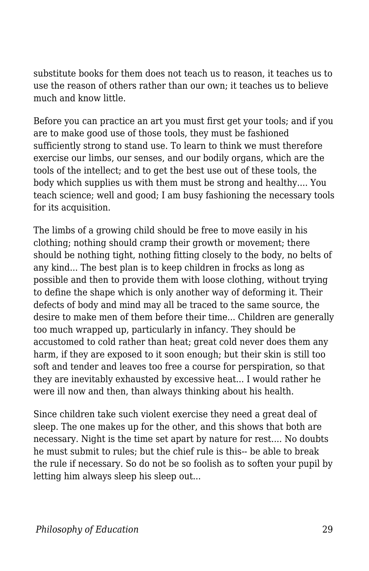substitute books for them does not teach us to reason, it teaches us to use the reason of others rather than our own; it teaches us to believe much and know little.

Before you can practice an art you must first get your tools; and if you are to make good use of those tools, they must be fashioned sufficiently strong to stand use. To learn to think we must therefore exercise our limbs, our senses, and our bodily organs, which are the tools of the intellect; and to get the best use out of these tools, the body which supplies us with them must be strong and healthy.... You teach science; well and good; I am busy fashioning the necessary tools for its acquisition.

The limbs of a growing child should be free to move easily in his clothing; nothing should cramp their growth or movement; there should be nothing tight, nothing fitting closely to the body, no belts of any kind... The best plan is to keep children in frocks as long as possible and then to provide them with loose clothing, without trying to define the shape which is only another way of deforming it. Their defects of body and mind may all be traced to the same source, the desire to make men of them before their time... Children are generally too much wrapped up, particularly in infancy. They should be accustomed to cold rather than heat; great cold never does them any harm, if they are exposed to it soon enough; but their skin is still too soft and tender and leaves too free a course for perspiration, so that they are inevitably exhausted by excessive heat... I would rather he were ill now and then, than always thinking about his health.

Since children take such violent exercise they need a great deal of sleep. The one makes up for the other, and this shows that both are necessary. Night is the time set apart by nature for rest.... No doubts he must submit to rules; but the chief rule is this-- be able to break the rule if necessary. So do not be so foolish as to soften your pupil by letting him always sleep his sleep out...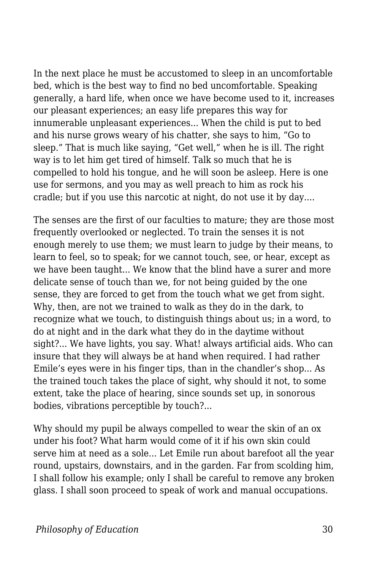In the next place he must be accustomed to sleep in an uncomfortable bed, which is the best way to find no bed uncomfortable. Speaking generally, a hard life, when once we have become used to it, increases our pleasant experiences; an easy life prepares this way for innumerable unpleasant experiences... When the child is put to bed and his nurse grows weary of his chatter, she says to him, "Go to sleep." That is much like saying, "Get well," when he is ill. The right way is to let him get tired of himself. Talk so much that he is compelled to hold his tongue, and he will soon be asleep. Here is one use for sermons, and you may as well preach to him as rock his cradle; but if you use this narcotic at night, do not use it by day....

The senses are the first of our faculties to mature; they are those most frequently overlooked or neglected. To train the senses it is not enough merely to use them; we must learn to judge by their means, to learn to feel, so to speak; for we cannot touch, see, or hear, except as we have been taught... We know that the blind have a surer and more delicate sense of touch than we, for not being guided by the one sense, they are forced to get from the touch what we get from sight. Why, then, are not we trained to walk as they do in the dark, to recognize what we touch, to distinguish things about us; in a word, to do at night and in the dark what they do in the daytime without sight?... We have lights, you say. What! always artificial aids. Who can insure that they will always be at hand when required. I had rather Emile's eyes were in his finger tips, than in the chandler's shop... As the trained touch takes the place of sight, why should it not, to some extent, take the place of hearing, since sounds set up, in sonorous bodies, vibrations perceptible by touch?...

Why should my pupil be always compelled to wear the skin of an ox under his foot? What harm would come of it if his own skin could serve him at need as a sole... Let Emile run about barefoot all the year round, upstairs, downstairs, and in the garden. Far from scolding him, I shall follow his example; only I shall be careful to remove any broken glass. I shall soon proceed to speak of work and manual occupations.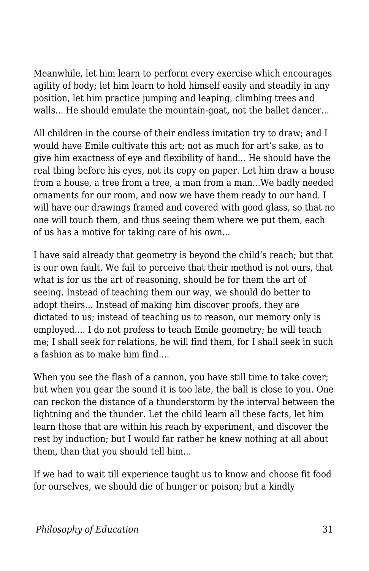Meanwhile, let him learn to perform every exercise which encourages agility of body; let him learn to hold himself easily and steadily in any position, let him practice jumping and leaping, climbing trees and walls... He should emulate the mountain-goat, not the ballet dancer...

All children in the course of their endless imitation try to draw; and I would have Emile cultivate this art; not as much for art's sake, as to give him exactness of eye and flexibility of hand... He should have the real thing before his eyes, not its copy on paper. Let him draw a house from a house, a tree from a tree, a man from a man...We badly needed ornaments for our room, and now we have them ready to our hand. I will have our drawings framed and covered with good glass, so that no one will touch them, and thus seeing them where we put them, each of us has a motive for taking care of his own...

I have said already that geometry is beyond the child's reach; but that is our own fault. We fail to perceive that their method is not ours, that what is for us the art of reasoning, should be for them the art of seeing. Instead of teaching them our way, we should do better to adopt theirs... Instead of making him discover proofs, they are dictated to us; instead of teaching us to reason, our memory only is employed.... I do not profess to teach Emile geometry; he will teach me; I shall seek for relations, he will find them, for I shall seek in such a fashion as to make him find....

When you see the flash of a cannon, you have still time to take cover; but when you gear the sound it is too late, the ball is close to you. One can reckon the distance of a thunderstorm by the interval between the lightning and the thunder. Let the child learn all these facts, let him learn those that are within his reach by experiment, and discover the rest by induction; but I would far rather he knew nothing at all about them, than that you should tell him...

If we had to wait till experience taught us to know and choose fit food for ourselves, we should die of hunger or poison; but a kindly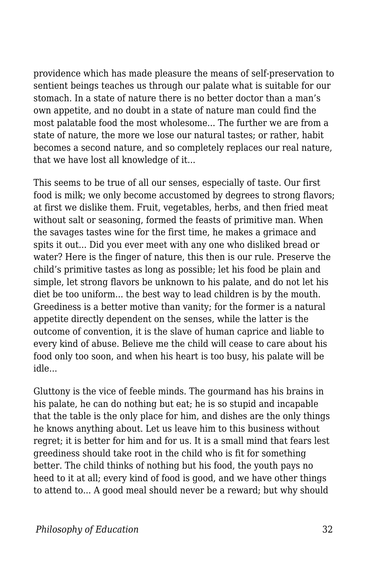providence which has made pleasure the means of self-preservation to sentient beings teaches us through our palate what is suitable for our stomach. In a state of nature there is no better doctor than a man's own appetite, and no doubt in a state of nature man could find the most palatable food the most wholesome... The further we are from a state of nature, the more we lose our natural tastes; or rather, habit becomes a second nature, and so completely replaces our real nature, that we have lost all knowledge of it...

This seems to be true of all our senses, especially of taste. Our first food is milk; we only become accustomed by degrees to strong flavors; at first we dislike them. Fruit, vegetables, herbs, and then fried meat without salt or seasoning, formed the feasts of primitive man. When the savages tastes wine for the first time, he makes a grimace and spits it out... Did you ever meet with any one who disliked bread or water? Here is the finger of nature, this then is our rule. Preserve the child's primitive tastes as long as possible; let his food be plain and simple, let strong flavors be unknown to his palate, and do not let his diet be too uniform... the best way to lead children is by the mouth. Greediness is a better motive than vanity; for the former is a natural appetite directly dependent on the senses, while the latter is the outcome of convention, it is the slave of human caprice and liable to every kind of abuse. Believe me the child will cease to care about his food only too soon, and when his heart is too busy, his palate will be idle...

Gluttony is the vice of feeble minds. The gourmand has his brains in his palate, he can do nothing but eat; he is so stupid and incapable that the table is the only place for him, and dishes are the only things he knows anything about. Let us leave him to this business without regret; it is better for him and for us. It is a small mind that fears lest greediness should take root in the child who is fit for something better. The child thinks of nothing but his food, the youth pays no heed to it at all; every kind of food is good, and we have other things to attend to... A good meal should never be a reward; but why should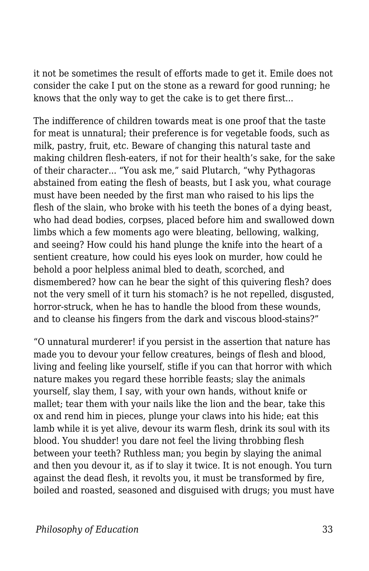it not be sometimes the result of efforts made to get it. Emile does not consider the cake I put on the stone as a reward for good running; he knows that the only way to get the cake is to get there first...

The indifference of children towards meat is one proof that the taste for meat is unnatural; their preference is for vegetable foods, such as milk, pastry, fruit, etc. Beware of changing this natural taste and making children flesh-eaters, if not for their health's sake, for the sake of their character... "You ask me," said Plutarch, "why Pythagoras abstained from eating the flesh of beasts, but I ask you, what courage must have been needed by the first man who raised to his lips the flesh of the slain, who broke with his teeth the bones of a dying beast, who had dead bodies, corpses, placed before him and swallowed down limbs which a few moments ago were bleating, bellowing, walking, and seeing? How could his hand plunge the knife into the heart of a sentient creature, how could his eyes look on murder, how could he behold a poor helpless animal bled to death, scorched, and dismembered? how can he bear the sight of this quivering flesh? does not the very smell of it turn his stomach? is he not repelled, disgusted, horror-struck, when he has to handle the blood from these wounds, and to cleanse his fingers from the dark and viscous blood-stains?"

"O unnatural murderer! if you persist in the assertion that nature has made you to devour your fellow creatures, beings of flesh and blood, living and feeling like yourself, stifle if you can that horror with which nature makes you regard these horrible feasts; slay the animals yourself, slay them, I say, with your own hands, without knife or mallet; tear them with your nails like the lion and the bear, take this ox and rend him in pieces, plunge your claws into his hide; eat this lamb while it is yet alive, devour its warm flesh, drink its soul with its blood. You shudder! you dare not feel the living throbbing flesh between your teeth? Ruthless man; you begin by slaying the animal and then you devour it, as if to slay it twice. It is not enough. You turn against the dead flesh, it revolts you, it must be transformed by fire, boiled and roasted, seasoned and disguised with drugs; you must have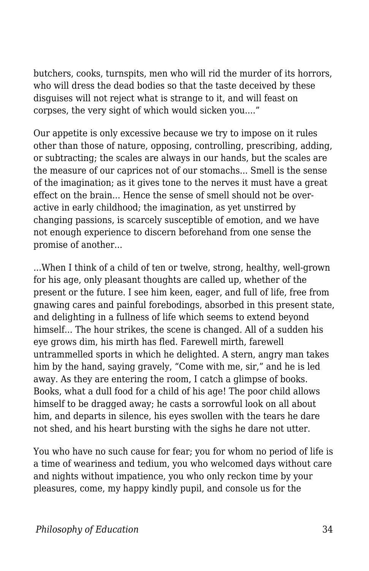butchers, cooks, turnspits, men who will rid the murder of its horrors, who will dress the dead bodies so that the taste deceived by these disguises will not reject what is strange to it, and will feast on corpses, the very sight of which would sicken you...."

Our appetite is only excessive because we try to impose on it rules other than those of nature, opposing, controlling, prescribing, adding, or subtracting; the scales are always in our hands, but the scales are the measure of our caprices not of our stomachs... Smell is the sense of the imagination; as it gives tone to the nerves it must have a great effect on the brain... Hence the sense of smell should not be overactive in early childhood; the imagination, as yet unstirred by changing passions, is scarcely susceptible of emotion, and we have not enough experience to discern beforehand from one sense the promise of another...

...When I think of a child of ten or twelve, strong, healthy, well-grown for his age, only pleasant thoughts are called up, whether of the present or the future. I see him keen, eager, and full of life, free from gnawing cares and painful forebodings, absorbed in this present state, and delighting in a fullness of life which seems to extend beyond himself... The hour strikes, the scene is changed. All of a sudden his eye grows dim, his mirth has fled. Farewell mirth, farewell untrammelled sports in which he delighted. A stern, angry man takes him by the hand, saying gravely, "Come with me, sir," and he is led away. As they are entering the room, I catch a glimpse of books. Books, what a dull food for a child of his age! The poor child allows himself to be dragged away; he casts a sorrowful look on all about him, and departs in silence, his eyes swollen with the tears he dare not shed, and his heart bursting with the sighs he dare not utter.

You who have no such cause for fear; you for whom no period of life is a time of weariness and tedium, you who welcomed days without care and nights without impatience, you who only reckon time by your pleasures, come, my happy kindly pupil, and console us for the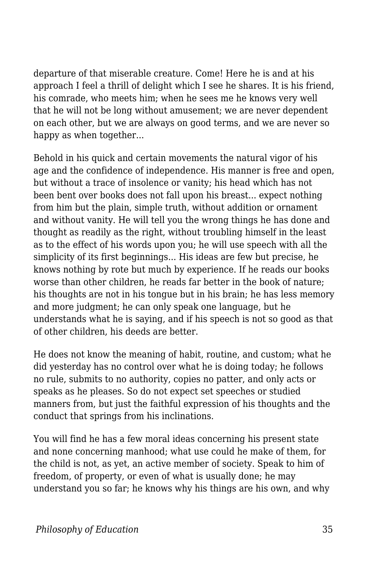departure of that miserable creature. Come! Here he is and at his approach I feel a thrill of delight which I see he shares. It is his friend, his comrade, who meets him; when he sees me he knows very well that he will not be long without amusement; we are never dependent on each other, but we are always on good terms, and we are never so happy as when together...

Behold in his quick and certain movements the natural vigor of his age and the confidence of independence. His manner is free and open, but without a trace of insolence or vanity; his head which has not been bent over books does not fall upon his breast... expect nothing from him but the plain, simple truth, without addition or ornament and without vanity. He will tell you the wrong things he has done and thought as readily as the right, without troubling himself in the least as to the effect of his words upon you; he will use speech with all the simplicity of its first beginnings... His ideas are few but precise, he knows nothing by rote but much by experience. If he reads our books worse than other children, he reads far better in the book of nature; his thoughts are not in his tongue but in his brain; he has less memory and more judgment; he can only speak one language, but he understands what he is saying, and if his speech is not so good as that of other children, his deeds are better.

He does not know the meaning of habit, routine, and custom; what he did yesterday has no control over what he is doing today; he follows no rule, submits to no authority, copies no patter, and only acts or speaks as he pleases. So do not expect set speeches or studied manners from, but just the faithful expression of his thoughts and the conduct that springs from his inclinations.

You will find he has a few moral ideas concerning his present state and none concerning manhood; what use could he make of them, for the child is not, as yet, an active member of society. Speak to him of freedom, of property, or even of what is usually done; he may understand you so far; he knows why his things are his own, and why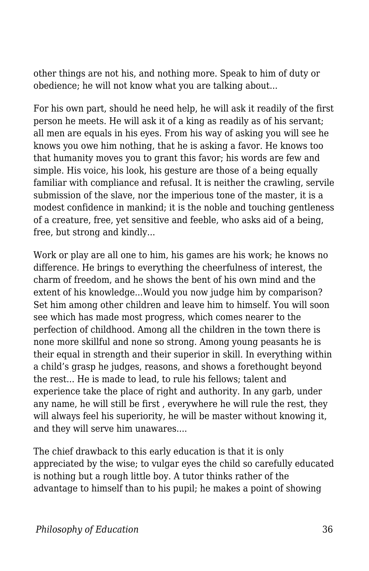other things are not his, and nothing more. Speak to him of duty or obedience; he will not know what you are talking about...

For his own part, should he need help, he will ask it readily of the first person he meets. He will ask it of a king as readily as of his servant; all men are equals in his eyes. From his way of asking you will see he knows you owe him nothing, that he is asking a favor. He knows too that humanity moves you to grant this favor; his words are few and simple. His voice, his look, his gesture are those of a being equally familiar with compliance and refusal. It is neither the crawling, servile submission of the slave, nor the imperious tone of the master, it is a modest confidence in mankind; it is the noble and touching gentleness of a creature, free, yet sensitive and feeble, who asks aid of a being, free, but strong and kindly...

Work or play are all one to him, his games are his work; he knows no difference. He brings to everything the cheerfulness of interest, the charm of freedom, and he shows the bent of his own mind and the extent of his knowledge...Would you now judge him by comparison? Set him among other children and leave him to himself. You will soon see which has made most progress, which comes nearer to the perfection of childhood. Among all the children in the town there is none more skillful and none so strong. Among young peasants he is their equal in strength and their superior in skill. In everything within a child's grasp he judges, reasons, and shows a forethought beyond the rest... He is made to lead, to rule his fellows; talent and experience take the place of right and authority. In any garb, under any name, he will still be first , everywhere he will rule the rest, they will always feel his superiority, he will be master without knowing it, and they will serve him unawares....

The chief drawback to this early education is that it is only appreciated by the wise; to vulgar eyes the child so carefully educated is nothing but a rough little boy. A tutor thinks rather of the advantage to himself than to his pupil; he makes a point of showing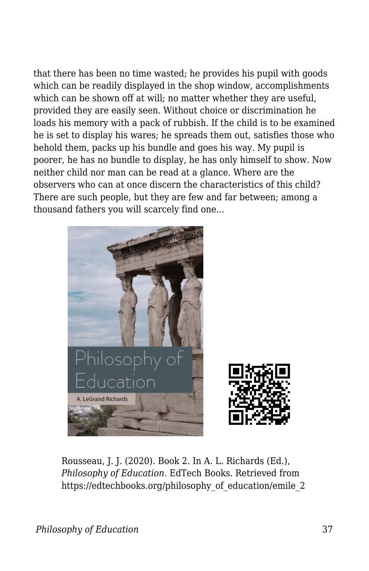that there has been no time wasted; he provides his pupil with goods which can be readily displayed in the shop window, accomplishments which can be shown off at will; no matter whether they are useful, provided they are easily seen. Without choice or discrimination he loads his memory with a pack of rubbish. If the child is to be examined he is set to display his wares; he spreads them out, satisfies those who behold them, packs up his bundle and goes his way. My pupil is poorer, he has no bundle to display, he has only himself to show. Now neither child nor man can be read at a glance. Where are the observers who can at once discern the characteristics of this child? There are such people, but they are few and far between; among a thousand fathers you will scarcely find one...



Rousseau, J. J. (2020). Book 2. In A. L. Richards (Ed.), *Philosophy of Education*. EdTech Books. Retrieved from https://edtechbooks.org/philosophy\_of\_education/emile\_2